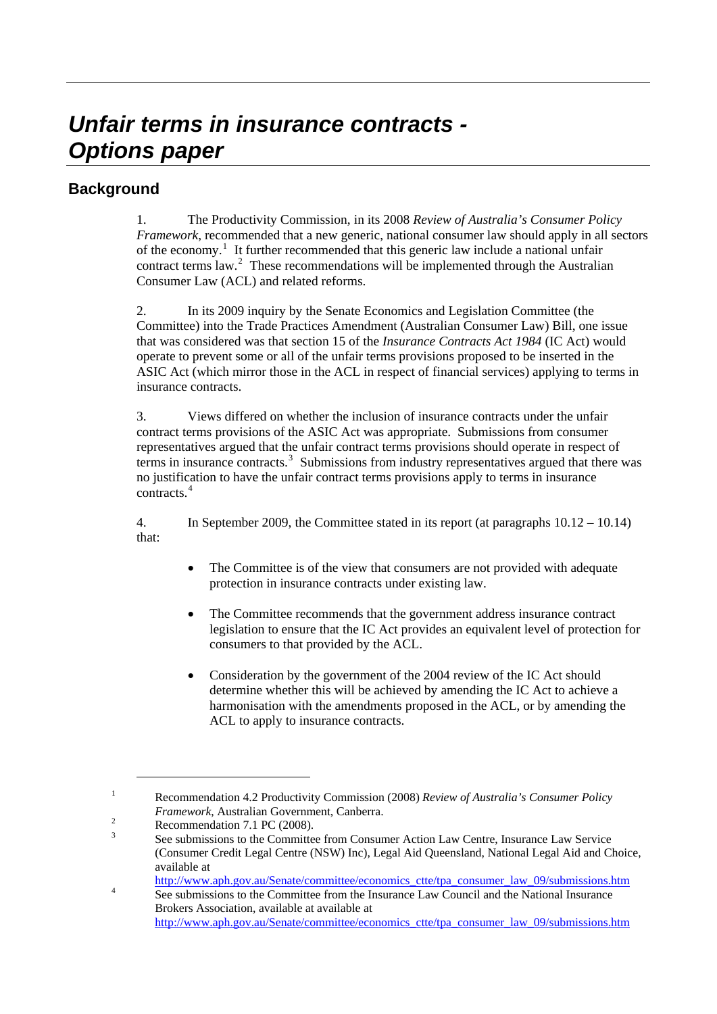# *Unfair terms in insurance contracts - Options paper*

# **Background**

1. The Productivity Commission, in its 2008 *Review of Australia's Consumer Policy Framework*, recommended that a new generic, national consumer law should apply in all sectors of the economy.<sup>[1](#page-0-0)</sup> It further recommended that this generic law include a national unfair contract terms  $law^2$  $law^2$ . These recommendations will be implemented through the Australian Consumer Law (ACL) and related reforms.

2. In its 2009 inquiry by the Senate Economics and Legislation Committee (the Committee) into the Trade Practices Amendment (Australian Consumer Law) Bill, one issue that was considered was that section 15 of the *Insurance Contracts Act 1984* (IC Act) would operate to prevent some or all of the unfair terms provisions proposed to be inserted in the ASIC Act (which mirror those in the ACL in respect of financial services) applying to terms in insurance contracts.

3. Views differed on whether the inclusion of insurance contracts under the unfair contract terms provisions of the ASIC Act was appropriate. Submissions from consumer representatives argued that the unfair contract terms provisions should operate in respect of terms in insurance contracts.<sup>[3](#page-0-2)</sup> Submissions from industry representatives argued that there was no justification to have the unfair contract terms provisions apply to terms in insurance contracts.<sup>[4](#page-0-3)</sup>

4. In September 2009, the Committee stated in its report (at paragraphs 10.12 – 10.14) that:

- The Committee is of the view that consumers are not provided with adequate protection in insurance contracts under existing law.
- The Committee recommends that the government address insurance contract legislation to ensure that the IC Act provides an equivalent level of protection for consumers to that provided by the ACL.
- Consideration by the government of the 2004 review of the IC Act should determine whether this will be achieved by amending the IC Act to achieve a harmonisation with the amendments proposed in the ACL, or by amending the ACL to apply to insurance contracts.

l

<span id="page-0-0"></span><sup>1</sup> Recommendation 4.2 Productivity Commission (2008) *Review of Australia's Consumer Policy Framework*, Australian Government, Canberra.

<span id="page-0-1"></span>Recommendation 7.1 PC (2008).

<span id="page-0-2"></span><sup>3</sup> See submissions to the Committee from Consumer Action Law Centre, Insurance Law Service (Consumer Credit Legal Centre (NSW) Inc), Legal Aid Queensland, National Legal Aid and Choice, available at

[http://www.aph.gov.au/Senate/committee/economics\\_ctte/tpa\\_consumer\\_law\\_09/submissions.htm](http://www.aph.gov.au/Senate/committee/economics_ctte/tpa_consumer_law_09/submissions.htm)

<span id="page-0-3"></span>See submissions to the Committee from the Insurance Law Council and the National Insurance Brokers Association, available at available at [http://www.aph.gov.au/Senate/committee/economics\\_ctte/tpa\\_consumer\\_law\\_09/submissions.htm](http://www.aph.gov.au/Senate/committee/economics_ctte/tpa_consumer_law_09/submissions.htm)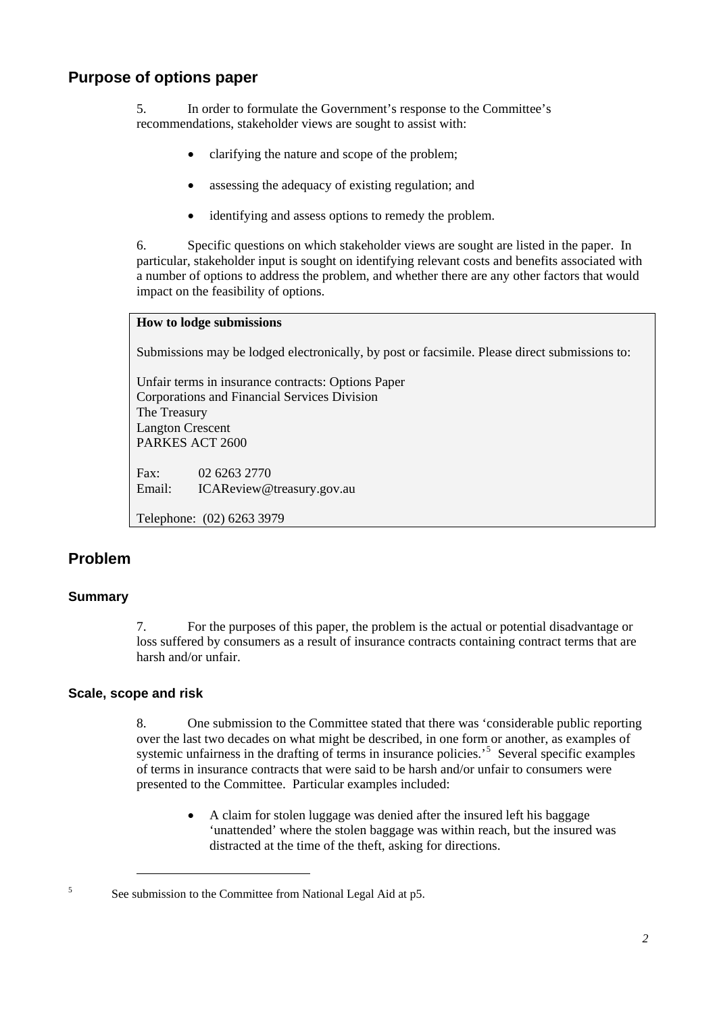# **Purpose of options paper**

5. In order to formulate the Government's response to the Committee's recommendations, stakeholder views are sought to assist with:

- clarifying the nature and scope of the problem;
- assessing the adequacy of existing regulation; and
- identifying and assess options to remedy the problem.

6. Specific questions on which stakeholder views are sought are listed in the paper. In particular, stakeholder input is sought on identifying relevant costs and benefits associated with a number of options to address the problem, and whether there are any other factors that would impact on the feasibility of options.

## **How to lodge submissions**

Submissions may be lodged electronically, by post or facsimile. Please direct submissions to:

Unfair terms in insurance contracts: Options Paper Corporations and Financial Services Division The Treasury Langton Crescent PARKES ACT 2600

Fax: 02 6263 2770 Email: ICAReview@treasury.gov.au

Telephone: (02) 6263 3979

## **Problem**

## **Summary**

7. For the purposes of this paper, the problem is the actual or potential disadvantage or loss suffered by consumers as a result of insurance contracts containing contract terms that are harsh and/or unfair.

## **Scale, scope and risk**

l

<span id="page-1-0"></span>5

8. One submission to the Committee stated that there was 'considerable public reporting over the last two decades on what might be described, in one form or another, as examples of systemic unfairness in the drafting of terms in insurance policies.<sup>[5](#page-1-0)</sup> Several specific examples of terms in insurance contracts that were said to be harsh and/or unfair to consumers were presented to the Committee. Particular examples included:

• A claim for stolen luggage was denied after the insured left his baggage 'unattended' where the stolen baggage was within reach, but the insured was distracted at the time of the theft, asking for directions.

See submission to the Committee from National Legal Aid at p5.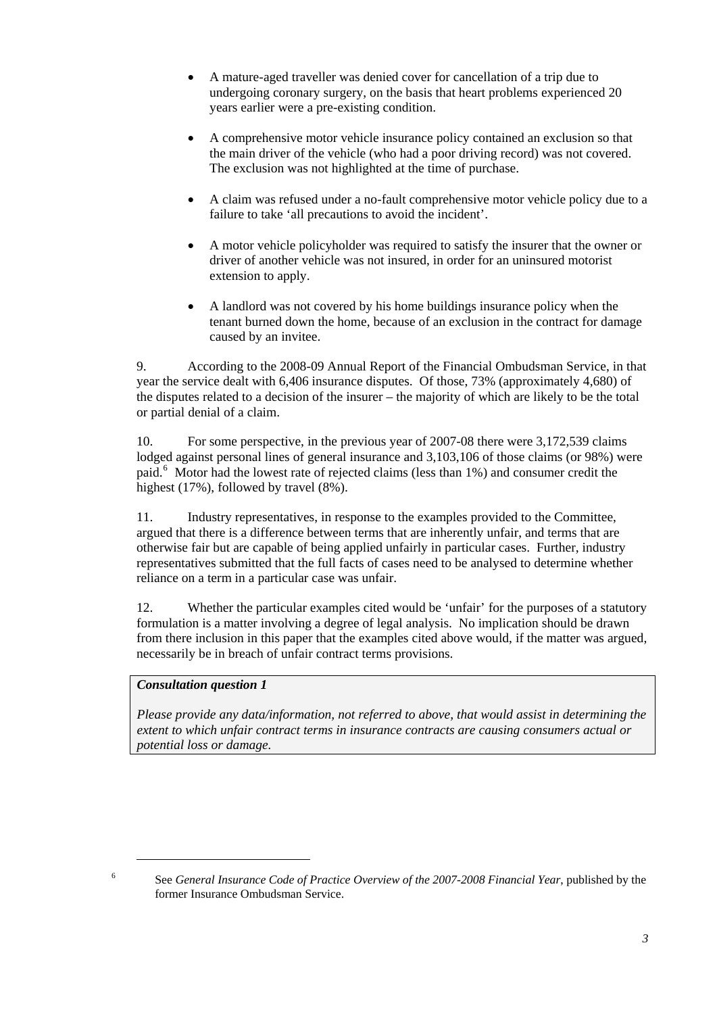- A mature-aged traveller was denied cover for cancellation of a trip due to undergoing coronary surgery, on the basis that heart problems experienced 20 years earlier were a pre-existing condition.
- A comprehensive motor vehicle insurance policy contained an exclusion so that the main driver of the vehicle (who had a poor driving record) was not covered. The exclusion was not highlighted at the time of purchase.
- A claim was refused under a no-fault comprehensive motor vehicle policy due to a failure to take 'all precautions to avoid the incident'.
- A motor vehicle policyholder was required to satisfy the insurer that the owner or driver of another vehicle was not insured, in order for an uninsured motorist extension to apply.
- A landlord was not covered by his home buildings insurance policy when the tenant burned down the home, because of an exclusion in the contract for damage caused by an invitee.

9. According to the 2008-09 Annual Report of the Financial Ombudsman Service, in that year the service dealt with 6,406 insurance disputes. Of those, 73% (approximately 4,680) of the disputes related to a decision of the insurer – the majority of which are likely to be the total or partial denial of a claim.

10. For some perspective, in the previous year of 2007-08 there were 3,172,539 claims lodged against personal lines of general insurance and 3,103,106 of those claims (or 98%) were paid.<sup>[6](#page-2-0)</sup> Motor had the lowest rate of rejected claims (less than 1%) and consumer credit the highest (17%), followed by travel (8%).

11. Industry representatives, in response to the examples provided to the Committee, argued that there is a difference between terms that are inherently unfair, and terms that are otherwise fair but are capable of being applied unfairly in particular cases. Further, industry representatives submitted that the full facts of cases need to be analysed to determine whether reliance on a term in a particular case was unfair.

12. Whether the particular examples cited would be 'unfair' for the purposes of a statutory formulation is a matter involving a degree of legal analysis. No implication should be drawn from there inclusion in this paper that the examples cited above would, if the matter was argued, necessarily be in breach of unfair contract terms provisions.

## *Consultation question 1*

*Please provide any data/information, not referred to above, that would assist in determining the extent to which unfair contract terms in insurance contracts are causing consumers actual or potential loss or damage.* 

l

<span id="page-2-0"></span><sup>6</sup>

See *General Insurance Code of Practice Overview of the 2007-2008 Financial Year*, published by the former Insurance Ombudsman Service.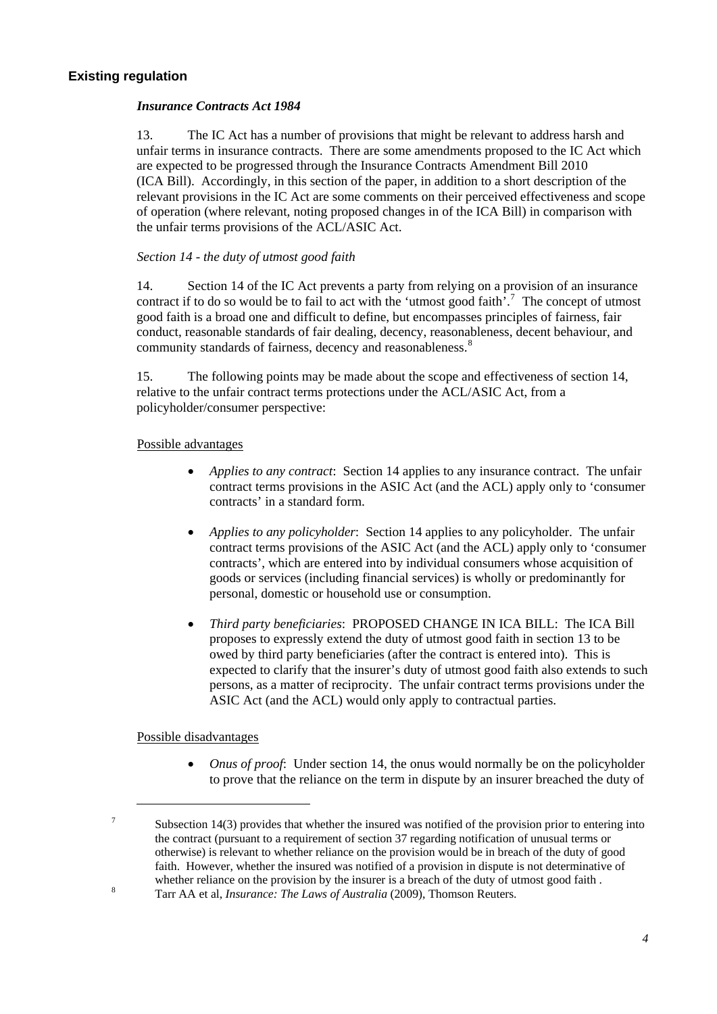## **Existing regulation**

## *Insurance Contracts Act 1984*

13. The IC Act has a number of provisions that might be relevant to address harsh and unfair terms in insurance contracts. There are some amendments proposed to the IC Act which are expected to be progressed through the Insurance Contracts Amendment Bill 2010 (ICA Bill). Accordingly, in this section of the paper, in addition to a short description of the relevant provisions in the IC Act are some comments on their perceived effectiveness and scope of operation (where relevant, noting proposed changes in of the ICA Bill) in comparison with the unfair terms provisions of the ACL/ASIC Act.

## *Section 14 - the duty of utmost good faith*

14. Section 14 of the IC Act prevents a party from relying on a provision of an insurance contract if to do so would be to fail to act with the 'utmost good faith'.<sup>[7](#page-3-0)</sup> The concept of utmost good faith is a broad one and difficult to define, but encompasses principles of fairness, fair conduct, reasonable standards of fair dealing, decency, reasonableness, decent behaviour, and community standards of fairness, decency and reasonableness.<sup>[8](#page-3-1)</sup>

15. The following points may be made about the scope and effectiveness of section 14, relative to the unfair contract terms protections under the ACL/ASIC Act, from a policyholder/consumer perspective:

## Possible advantages

- *Applies to any contract*: Section 14 applies to any insurance contract. The unfair contract terms provisions in the ASIC Act (and the ACL) apply only to 'consumer contracts' in a standard form.
- *Applies to any policyholder*: Section 14 applies to any policyholder. The unfair contract terms provisions of the ASIC Act (and the ACL) apply only to 'consumer contracts', which are entered into by individual consumers whose acquisition of goods or services (including financial services) is wholly or predominantly for personal, domestic or household use or consumption.
- *Third party beneficiaries*: PROPOSED CHANGE IN ICA BILL: The ICA Bill proposes to expressly extend the duty of utmost good faith in section 13 to be owed by third party beneficiaries (after the contract is entered into). This is expected to clarify that the insurer's duty of utmost good faith also extends to such persons, as a matter of reciprocity. The unfair contract terms provisions under the ASIC Act (and the ACL) would only apply to contractual parties.

## Possible disadvantages

l

• *Onus of proof*: Under section 14, the onus would normally be on the policyholder to prove that the reliance on the term in dispute by an insurer breached the duty of

<span id="page-3-1"></span><span id="page-3-0"></span><sup>7</sup> Subsection 14(3) provides that whether the insured was notified of the provision prior to entering into the contract (pursuant to a requirement of section 37 regarding notification of unusual terms or otherwise) is relevant to whether reliance on the provision would be in breach of the duty of good faith. However, whether the insured was notified of a provision in dispute is not determinative of whether reliance on the provision by the insurer is a breach of the duty of utmost good faith . Tarr AA et al, *Insurance: The Laws of Australia* (2009), Thomson Reuters.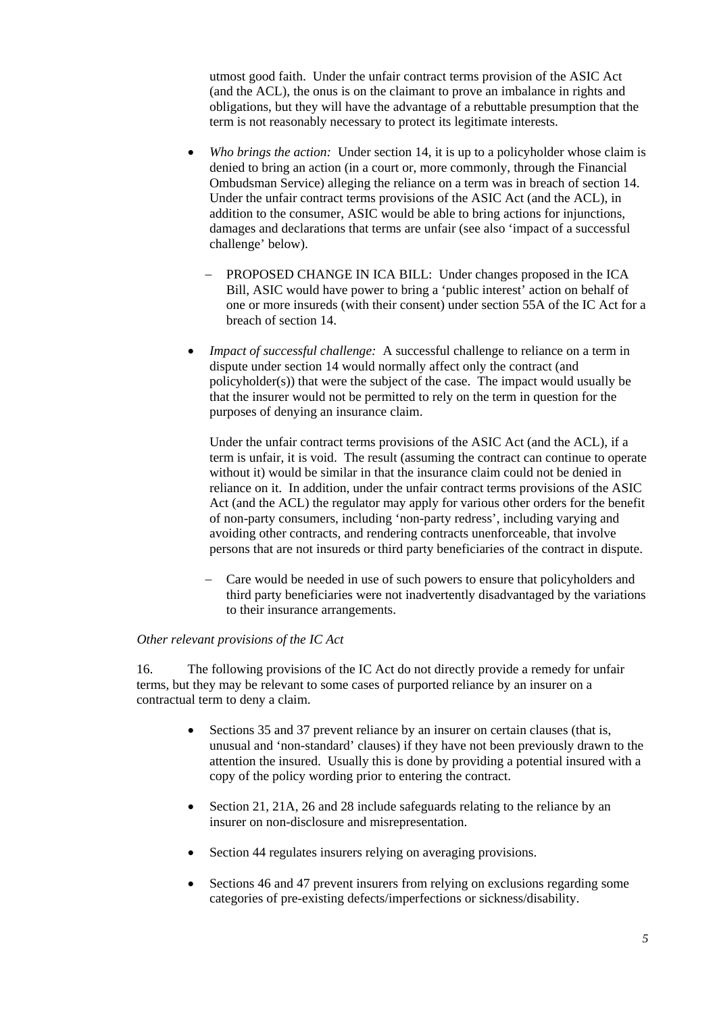utmost good faith. Under the unfair contract terms provision of the ASIC Act (and the ACL), the onus is on the claimant to prove an imbalance in rights and obligations, but they will have the advantage of a rebuttable presumption that the term is not reasonably necessary to protect its legitimate interests.

- *Who brings the action:* Under section 14, it is up to a policyholder whose claim is denied to bring an action (in a court or, more commonly, through the Financial Ombudsman Service) alleging the reliance on a term was in breach of section 14. Under the unfair contract terms provisions of the ASIC Act (and the ACL), in addition to the consumer, ASIC would be able to bring actions for injunctions, damages and declarations that terms are unfair (see also 'impact of a successful challenge' below).
	- − PROPOSED CHANGE IN ICA BILL: Under changes proposed in the ICA Bill, ASIC would have power to bring a 'public interest' action on behalf of one or more insureds (with their consent) under section 55A of the IC Act for a breach of section 14.
- *Impact of successful challenge:* A successful challenge to reliance on a term in dispute under section 14 would normally affect only the contract (and policyholder(s)) that were the subject of the case. The impact would usually be that the insurer would not be permitted to rely on the term in question for the purposes of denying an insurance claim.

Under the unfair contract terms provisions of the ASIC Act (and the ACL), if a term is unfair, it is void. The result (assuming the contract can continue to operate without it) would be similar in that the insurance claim could not be denied in reliance on it. In addition, under the unfair contract terms provisions of the ASIC Act (and the ACL) the regulator may apply for various other orders for the benefit of non-party consumers, including 'non-party redress', including varying and avoiding other contracts, and rendering contracts unenforceable, that involve persons that are not insureds or third party beneficiaries of the contract in dispute.

Care would be needed in use of such powers to ensure that policyholders and third party beneficiaries were not inadvertently disadvantaged by the variations to their insurance arrangements.

## *Other relevant provisions of the IC Act*

16. The following provisions of the IC Act do not directly provide a remedy for unfair terms, but they may be relevant to some cases of purported reliance by an insurer on a contractual term to deny a claim.

- Sections 35 and 37 prevent reliance by an insurer on certain clauses (that is, unusual and 'non-standard' clauses) if they have not been previously drawn to the attention the insured. Usually this is done by providing a potential insured with a copy of the policy wording prior to entering the contract.
- Section 21, 21A, 26 and 28 include safeguards relating to the reliance by an insurer on non-disclosure and misrepresentation.
- Section 44 regulates insurers relying on averaging provisions.
- Sections 46 and 47 prevent insurers from relying on exclusions regarding some categories of pre-existing defects/imperfections or sickness/disability.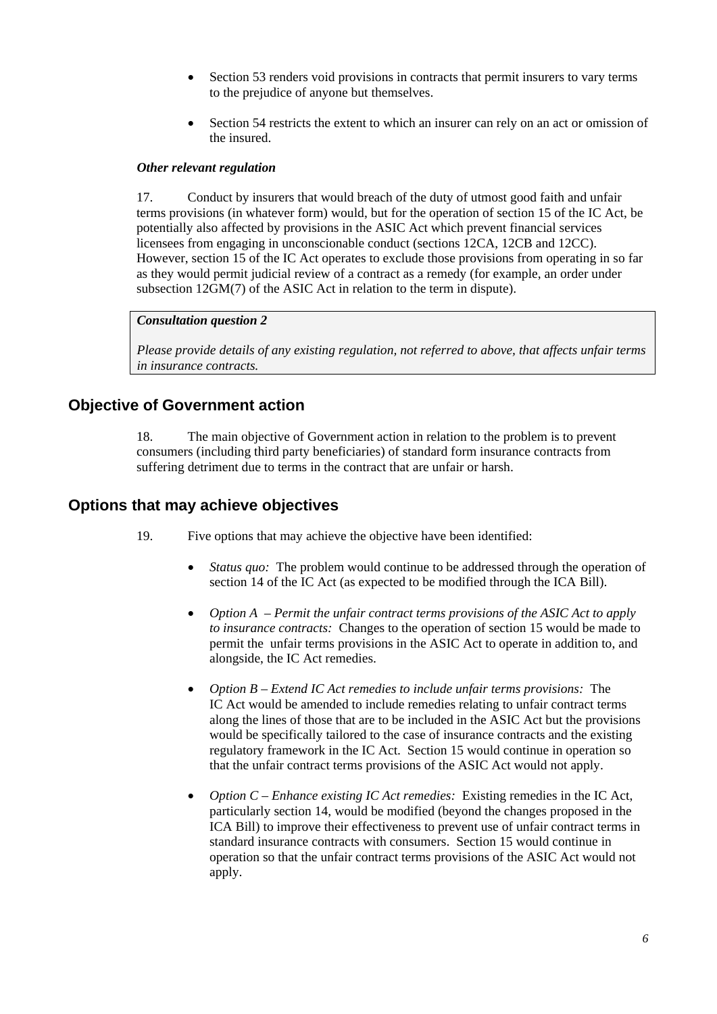- Section 53 renders void provisions in contracts that permit insurers to vary terms to the prejudice of anyone but themselves.
- Section 54 restricts the extent to which an insurer can rely on an act or omission of the insured.

#### *Other relevant regulation*

17. Conduct by insurers that would breach of the duty of utmost good faith and unfair terms provisions (in whatever form) would, but for the operation of section 15 of the IC Act, be potentially also affected by provisions in the ASIC Act which prevent financial services licensees from engaging in unconscionable conduct (sections 12CA, 12CB and 12CC). However, section 15 of the IC Act operates to exclude those provisions from operating in so far as they would permit judicial review of a contract as a remedy (for example, an order under subsection 12GM(7) of the ASIC Act in relation to the term in dispute).

#### *Consultation question 2*

*Please provide details of any existing regulation, not referred to above, that affects unfair terms in insurance contracts.* 

## **Objective of Government action**

18. The main objective of Government action in relation to the problem is to prevent consumers (including third party beneficiaries) of standard form insurance contracts from suffering detriment due to terms in the contract that are unfair or harsh.

## **Options that may achieve objectives**

- 19. Five options that may achieve the objective have been identified:
	- *Status quo:* The problem would continue to be addressed through the operation of section 14 of the IC Act (as expected to be modified through the ICA Bill).
	- *Option A Permit the unfair contract terms provisions of the ASIC Act to apply to insurance contracts:* Changes to the operation of section 15 would be made to permit the unfair terms provisions in the ASIC Act to operate in addition to, and alongside, the IC Act remedies.
	- *Option B Extend IC Act remedies to include unfair terms provisions:* The IC Act would be amended to include remedies relating to unfair contract terms along the lines of those that are to be included in the ASIC Act but the provisions would be specifically tailored to the case of insurance contracts and the existing regulatory framework in the IC Act. Section 15 would continue in operation so that the unfair contract terms provisions of the ASIC Act would not apply.
	- *Option C Enhance existing IC Act remedies:* Existing remedies in the IC Act, particularly section 14, would be modified (beyond the changes proposed in the ICA Bill) to improve their effectiveness to prevent use of unfair contract terms in standard insurance contracts with consumers. Section 15 would continue in operation so that the unfair contract terms provisions of the ASIC Act would not apply.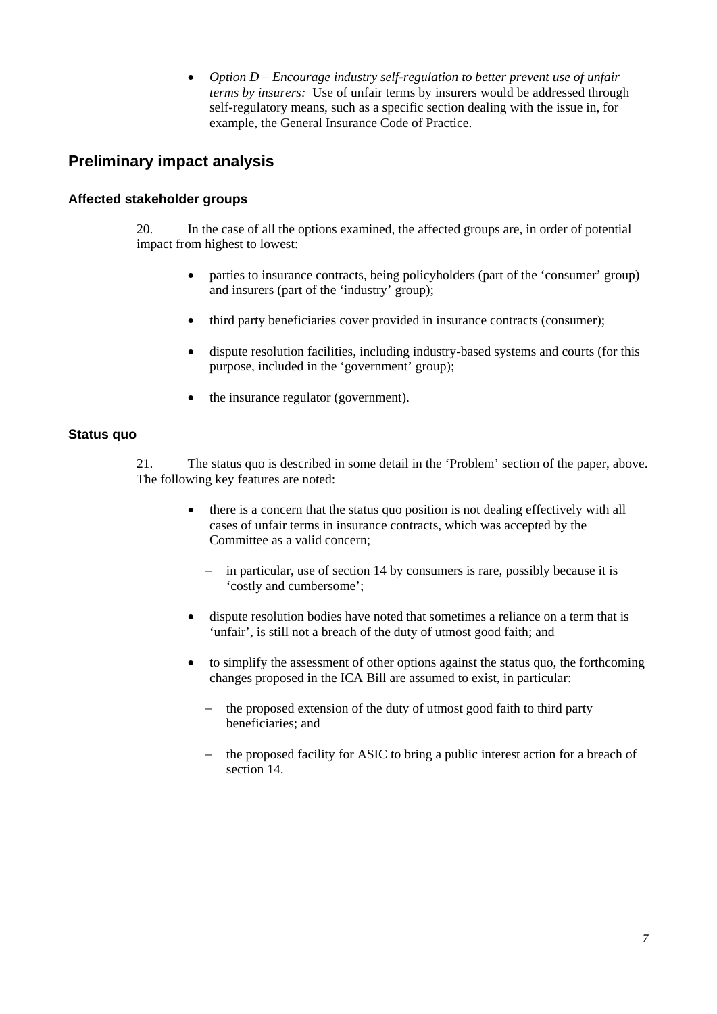• *Option D – Encourage industry self-regulation to better prevent use of unfair terms by insurers:* Use of unfair terms by insurers would be addressed through self-regulatory means, such as a specific section dealing with the issue in, for example, the General Insurance Code of Practice.

# **Preliminary impact analysis**

## **Affected stakeholder groups**

20. In the case of all the options examined, the affected groups are, in order of potential impact from highest to lowest:

- parties to insurance contracts, being policyholders (part of the 'consumer' group) and insurers (part of the 'industry' group);
- third party beneficiaries cover provided in insurance contracts (consumer);
- dispute resolution facilities, including industry-based systems and courts (for this purpose, included in the 'government' group);
- the insurance regulator (government).

## **Status quo**

21. The status quo is described in some detail in the 'Problem' section of the paper, above. The following key features are noted:

- there is a concern that the status quo position is not dealing effectively with all cases of unfair terms in insurance contracts, which was accepted by the Committee as a valid concern;
	- − in particular, use of section 14 by consumers is rare, possibly because it is 'costly and cumbersome';
- dispute resolution bodies have noted that sometimes a reliance on a term that is 'unfair', is still not a breach of the duty of utmost good faith; and
- to simplify the assessment of other options against the status quo, the forthcoming changes proposed in the ICA Bill are assumed to exist, in particular:
	- − the proposed extension of the duty of utmost good faith to third party beneficiaries; and
	- − the proposed facility for ASIC to bring a public interest action for a breach of section 14.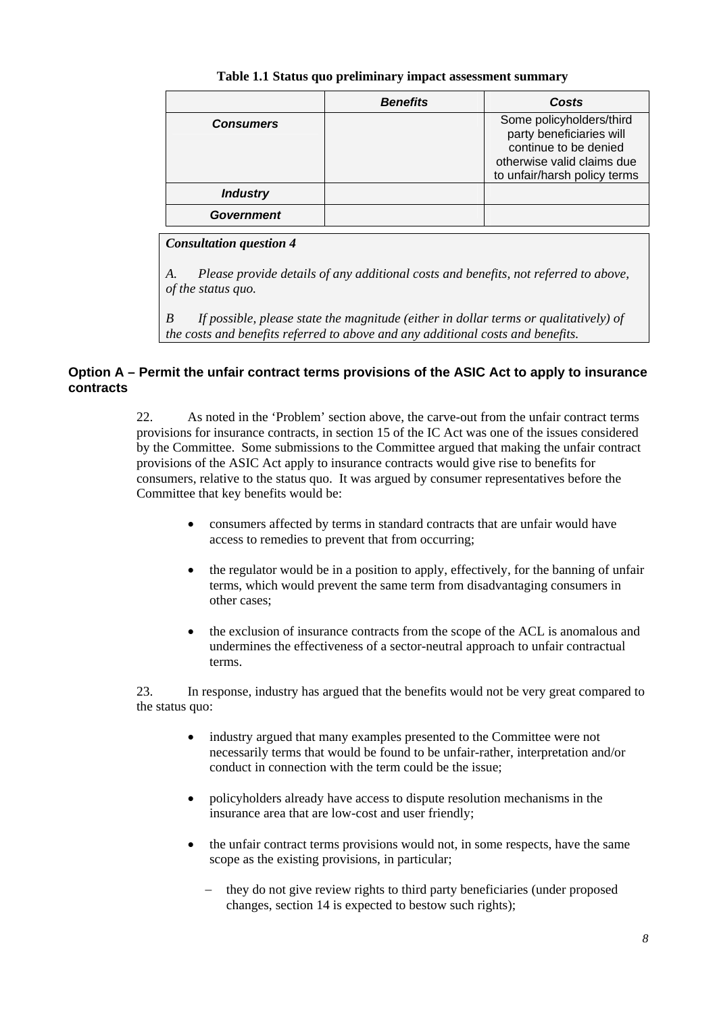|  |  |  |  | Table 1.1 Status quo preliminary impact assessment summary |  |  |  |
|--|--|--|--|------------------------------------------------------------|--|--|--|
|--|--|--|--|------------------------------------------------------------|--|--|--|

|                   | <b>Benefits</b> | Costs                                                                                                                                       |
|-------------------|-----------------|---------------------------------------------------------------------------------------------------------------------------------------------|
| <b>Consumers</b>  |                 | Some policyholders/third<br>party beneficiaries will<br>continue to be denied<br>otherwise valid claims due<br>to unfair/harsh policy terms |
| <b>Industry</b>   |                 |                                                                                                                                             |
| <b>Government</b> |                 |                                                                                                                                             |

*Consultation question 4* 

*A. Please provide details of any additional costs and benefits, not referred to above, of the status quo.* 

*B If possible, please state the magnitude (either in dollar terms or qualitatively) of the costs and benefits referred to above and any additional costs and benefits.* 

## **Option A – Permit the unfair contract terms provisions of the ASIC Act to apply to insurance contracts**

22. As noted in the 'Problem' section above, the carve-out from the unfair contract terms provisions for insurance contracts, in section 15 of the IC Act was one of the issues considered by the Committee. Some submissions to the Committee argued that making the unfair contract provisions of the ASIC Act apply to insurance contracts would give rise to benefits for consumers, relative to the status quo. It was argued by consumer representatives before the Committee that key benefits would be:

- consumers affected by terms in standard contracts that are unfair would have access to remedies to prevent that from occurring;
- the regulator would be in a position to apply, effectively, for the banning of unfair terms, which would prevent the same term from disadvantaging consumers in other cases;
- the exclusion of insurance contracts from the scope of the ACL is anomalous and undermines the effectiveness of a sector-neutral approach to unfair contractual terms.

23. In response, industry has argued that the benefits would not be very great compared to the status quo:

- industry argued that many examples presented to the Committee were not necessarily terms that would be found to be unfair-rather, interpretation and/or conduct in connection with the term could be the issue;
- policyholders already have access to dispute resolution mechanisms in the insurance area that are low-cost and user friendly;
- the unfair contract terms provisions would not, in some respects, have the same scope as the existing provisions, in particular;
	- they do not give review rights to third party beneficiaries (under proposed changes, section 14 is expected to bestow such rights);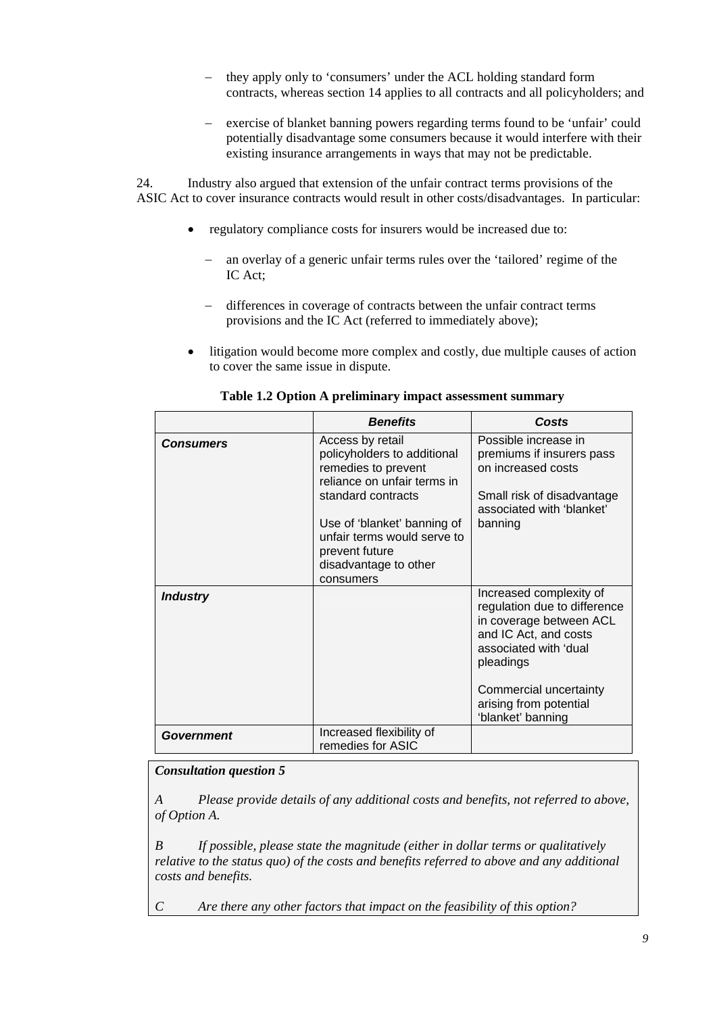- − they apply only to 'consumers' under the ACL holding standard form contracts, whereas section 14 applies to all contracts and all policyholders; and
- − exercise of blanket banning powers regarding terms found to be 'unfair' could potentially disadvantage some consumers because it would interfere with their existing insurance arrangements in ways that may not be predictable.

24. Industry also argued that extension of the unfair contract terms provisions of the ASIC Act to cover insurance contracts would result in other costs/disadvantages. In particular:

- regulatory compliance costs for insurers would be increased due to:
	- − an overlay of a generic unfair terms rules over the 'tailored' regime of the IC Act;
	- − differences in coverage of contracts between the unfair contract terms provisions and the IC Act (referred to immediately above);
- litigation would become more complex and costly, due multiple causes of action to cover the same issue in dispute.

|                  | <b>Benefits</b>                                                                                                                                                                                                                                   | Costs                                                                                                                                                                                                                      |
|------------------|---------------------------------------------------------------------------------------------------------------------------------------------------------------------------------------------------------------------------------------------------|----------------------------------------------------------------------------------------------------------------------------------------------------------------------------------------------------------------------------|
| <b>Consumers</b> | Access by retail<br>policyholders to additional<br>remedies to prevent<br>reliance on unfair terms in<br>standard contracts<br>Use of 'blanket' banning of<br>unfair terms would serve to<br>prevent future<br>disadvantage to other<br>consumers | Possible increase in<br>premiums if insurers pass<br>on increased costs<br>Small risk of disadvantage<br>associated with 'blanket'<br>banning                                                                              |
| <b>Industry</b>  |                                                                                                                                                                                                                                                   | Increased complexity of<br>regulation due to difference<br>in coverage between ACL<br>and IC Act, and costs<br>associated with 'dual<br>pleadings<br>Commercial uncertainty<br>arising from potential<br>'blanket' banning |
| Government       | Increased flexibility of<br>remedies for ASIC                                                                                                                                                                                                     |                                                                                                                                                                                                                            |

## **Table 1.2 Option A preliminary impact assessment summary**

## *Consultation question 5*

*A Please provide details of any additional costs and benefits, not referred to above, of Option A.* 

*B If possible, please state the magnitude (either in dollar terms or qualitatively relative to the status quo) of the costs and benefits referred to above and any additional costs and benefits.* 

*C Are there any other factors that impact on the feasibility of this option?*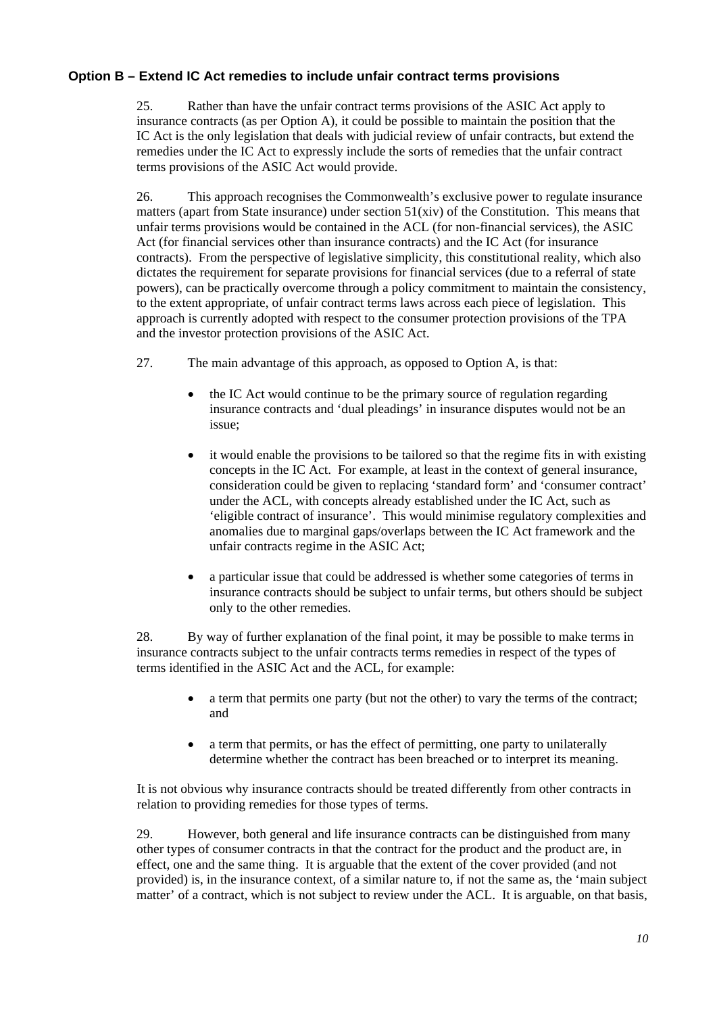## **Option B – Extend IC Act remedies to include unfair contract terms provisions**

25. Rather than have the unfair contract terms provisions of the ASIC Act apply to insurance contracts (as per Option A), it could be possible to maintain the position that the IC Act is the only legislation that deals with judicial review of unfair contracts, but extend the remedies under the IC Act to expressly include the sorts of remedies that the unfair contract terms provisions of the ASIC Act would provide.

26. This approach recognises the Commonwealth's exclusive power to regulate insurance matters (apart from State insurance) under section  $51(xiv)$  of the Constitution. This means that unfair terms provisions would be contained in the ACL (for non-financial services), the ASIC Act (for financial services other than insurance contracts) and the IC Act (for insurance contracts). From the perspective of legislative simplicity, this constitutional reality, which also dictates the requirement for separate provisions for financial services (due to a referral of state powers), can be practically overcome through a policy commitment to maintain the consistency, to the extent appropriate, of unfair contract terms laws across each piece of legislation. This approach is currently adopted with respect to the consumer protection provisions of the TPA and the investor protection provisions of the ASIC Act.

- 27. The main advantage of this approach, as opposed to Option A, is that:
	- the IC Act would continue to be the primary source of regulation regarding insurance contracts and 'dual pleadings' in insurance disputes would not be an issue;
	- it would enable the provisions to be tailored so that the regime fits in with existing concepts in the IC Act. For example, at least in the context of general insurance, consideration could be given to replacing 'standard form' and 'consumer contract' under the ACL, with concepts already established under the IC Act, such as 'eligible contract of insurance'. This would minimise regulatory complexities and anomalies due to marginal gaps/overlaps between the IC Act framework and the unfair contracts regime in the ASIC Act;
	- a particular issue that could be addressed is whether some categories of terms in insurance contracts should be subject to unfair terms, but others should be subject only to the other remedies.

28. By way of further explanation of the final point, it may be possible to make terms in insurance contracts subject to the unfair contracts terms remedies in respect of the types of terms identified in the ASIC Act and the ACL, for example:

- a term that permits one party (but not the other) to vary the terms of the contract; and
- a term that permits, or has the effect of permitting, one party to unilaterally determine whether the contract has been breached or to interpret its meaning.

It is not obvious why insurance contracts should be treated differently from other contracts in relation to providing remedies for those types of terms.

29. However, both general and life insurance contracts can be distinguished from many other types of consumer contracts in that the contract for the product and the product are, in effect, one and the same thing. It is arguable that the extent of the cover provided (and not provided) is, in the insurance context, of a similar nature to, if not the same as, the 'main subject matter' of a contract, which is not subject to review under the ACL. It is arguable, on that basis,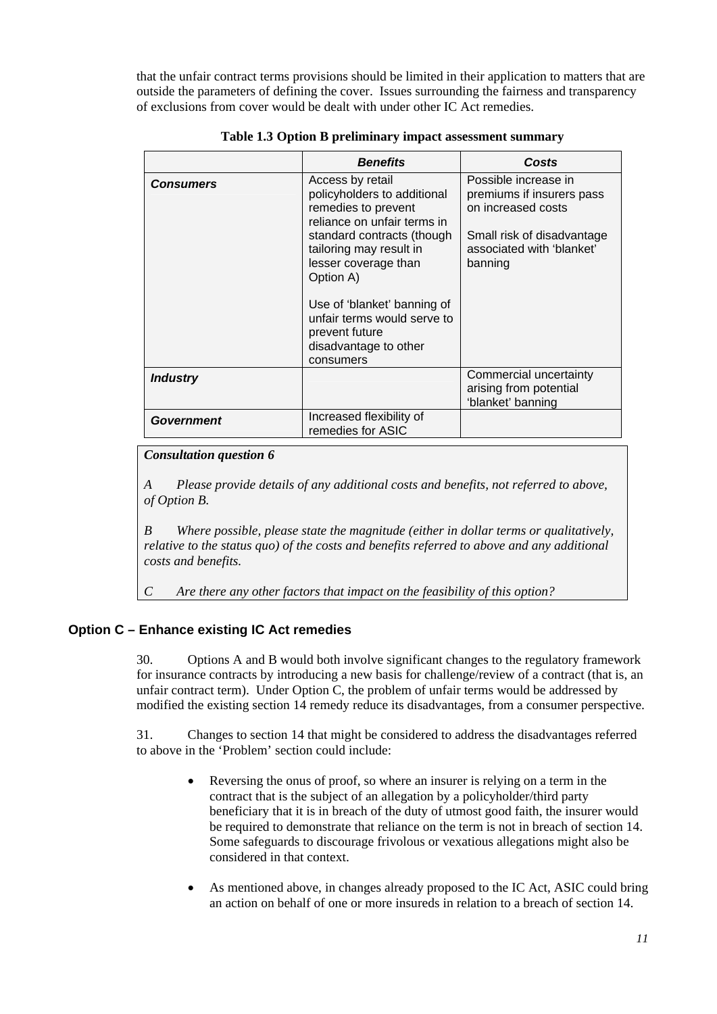that the unfair contract terms provisions should be limited in their application to matters that are outside the parameters of defining the cover. Issues surrounding the fairness and transparency of exclusions from cover would be dealt with under other IC Act remedies.

|                  | <b>Benefits</b>                                                                                                                                                                                                                                                                                                           | Costs                                                                                                                                         |
|------------------|---------------------------------------------------------------------------------------------------------------------------------------------------------------------------------------------------------------------------------------------------------------------------------------------------------------------------|-----------------------------------------------------------------------------------------------------------------------------------------------|
| <b>Consumers</b> | Access by retail<br>policyholders to additional<br>remedies to prevent<br>reliance on unfair terms in<br>standard contracts (though<br>tailoring may result in<br>lesser coverage than<br>Option A)<br>Use of 'blanket' banning of<br>unfair terms would serve to<br>prevent future<br>disadvantage to other<br>consumers | Possible increase in<br>premiums if insurers pass<br>on increased costs<br>Small risk of disadvantage<br>associated with 'blanket'<br>banning |
| <b>Industry</b>  |                                                                                                                                                                                                                                                                                                                           | Commercial uncertainty                                                                                                                        |
|                  |                                                                                                                                                                                                                                                                                                                           | arising from potential<br>'blanket' banning                                                                                                   |
| Government       | Increased flexibility of<br>remedies for ASIC                                                                                                                                                                                                                                                                             |                                                                                                                                               |

|  | Table 1.3 Option B preliminary impact assessment summary |  |  |
|--|----------------------------------------------------------|--|--|
|  |                                                          |  |  |

*Consultation question 6* 

*A Please provide details of any additional costs and benefits, not referred to above, of Option B.* 

*B Where possible, please state the magnitude (either in dollar terms or qualitatively, relative to the status quo) of the costs and benefits referred to above and any additional costs and benefits.* 

*C Are there any other factors that impact on the feasibility of this option?* 

## **Option C – Enhance existing IC Act remedies**

30. Options A and B would both involve significant changes to the regulatory framework for insurance contracts by introducing a new basis for challenge/review of a contract (that is, an unfair contract term). Under Option C, the problem of unfair terms would be addressed by modified the existing section 14 remedy reduce its disadvantages, from a consumer perspective.

31. Changes to section 14 that might be considered to address the disadvantages referred to above in the 'Problem' section could include:

- Reversing the onus of proof, so where an insurer is relying on a term in the contract that is the subject of an allegation by a policyholder/third party beneficiary that it is in breach of the duty of utmost good faith, the insurer would be required to demonstrate that reliance on the term is not in breach of section 14. Some safeguards to discourage frivolous or vexatious allegations might also be considered in that context.
- As mentioned above, in changes already proposed to the IC Act, ASIC could bring an action on behalf of one or more insureds in relation to a breach of section 14.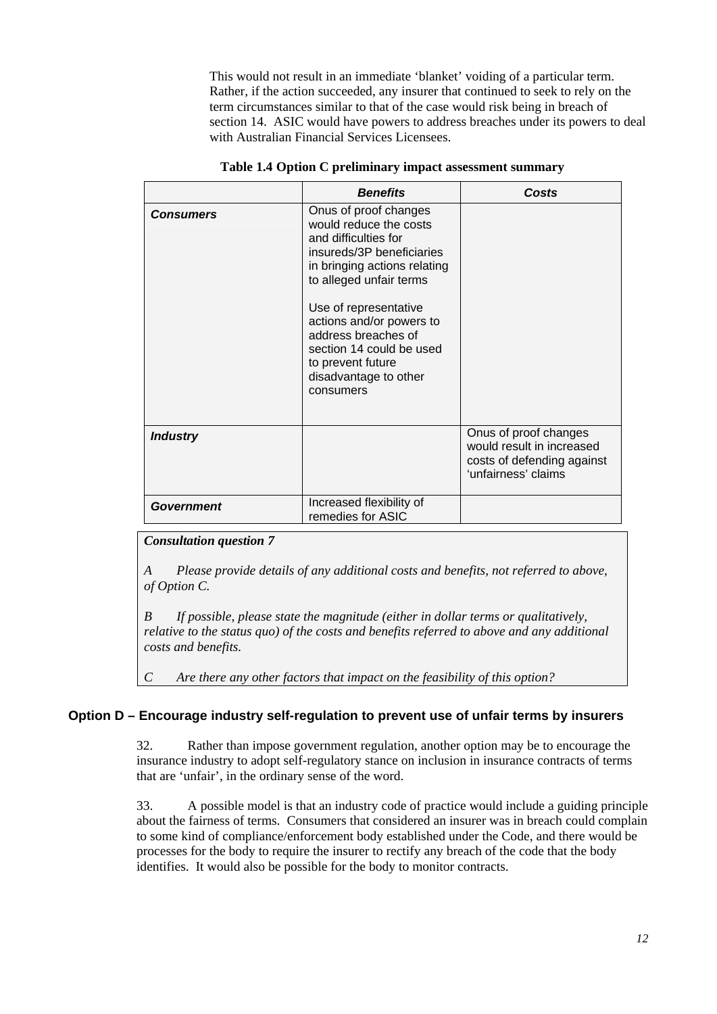This would not result in an immediate 'blanket' voiding of a particular term. Rather, if the action succeeded, any insurer that continued to seek to rely on the term circumstances similar to that of the case would risk being in breach of section 14. ASIC would have powers to address breaches under its powers to deal with Australian Financial Services Licensees.

|                   | <b>Benefits</b>                                                                                                                                                                                                                                                                                                                    | Costs                                                                                                   |
|-------------------|------------------------------------------------------------------------------------------------------------------------------------------------------------------------------------------------------------------------------------------------------------------------------------------------------------------------------------|---------------------------------------------------------------------------------------------------------|
| <b>Consumers</b>  | Onus of proof changes<br>would reduce the costs<br>and difficulties for<br>insureds/3P beneficiaries<br>in bringing actions relating<br>to alleged unfair terms<br>Use of representative<br>actions and/or powers to<br>address breaches of<br>section 14 could be used<br>to prevent future<br>disadvantage to other<br>consumers |                                                                                                         |
| <b>Industry</b>   |                                                                                                                                                                                                                                                                                                                                    | Onus of proof changes<br>would result in increased<br>costs of defending against<br>'unfairness' claims |
| <b>Government</b> | Increased flexibility of<br>remedies for ASIC                                                                                                                                                                                                                                                                                      |                                                                                                         |

## **Table 1.4 Option C preliminary impact assessment summary**

*Consultation question 7* 

*A Please provide details of any additional costs and benefits, not referred to above, of Option C.* 

*B If possible, please state the magnitude (either in dollar terms or qualitatively, relative to the status quo) of the costs and benefits referred to above and any additional costs and benefits.* 

*C Are there any other factors that impact on the feasibility of this option?* 

## **Option D – Encourage industry self-regulation to prevent use of unfair terms by insurers**

32. Rather than impose government regulation, another option may be to encourage the insurance industry to adopt self-regulatory stance on inclusion in insurance contracts of terms that are 'unfair', in the ordinary sense of the word.

33. A possible model is that an industry code of practice would include a guiding principle about the fairness of terms. Consumers that considered an insurer was in breach could complain to some kind of compliance/enforcement body established under the Code, and there would be processes for the body to require the insurer to rectify any breach of the code that the body identifies. It would also be possible for the body to monitor contracts.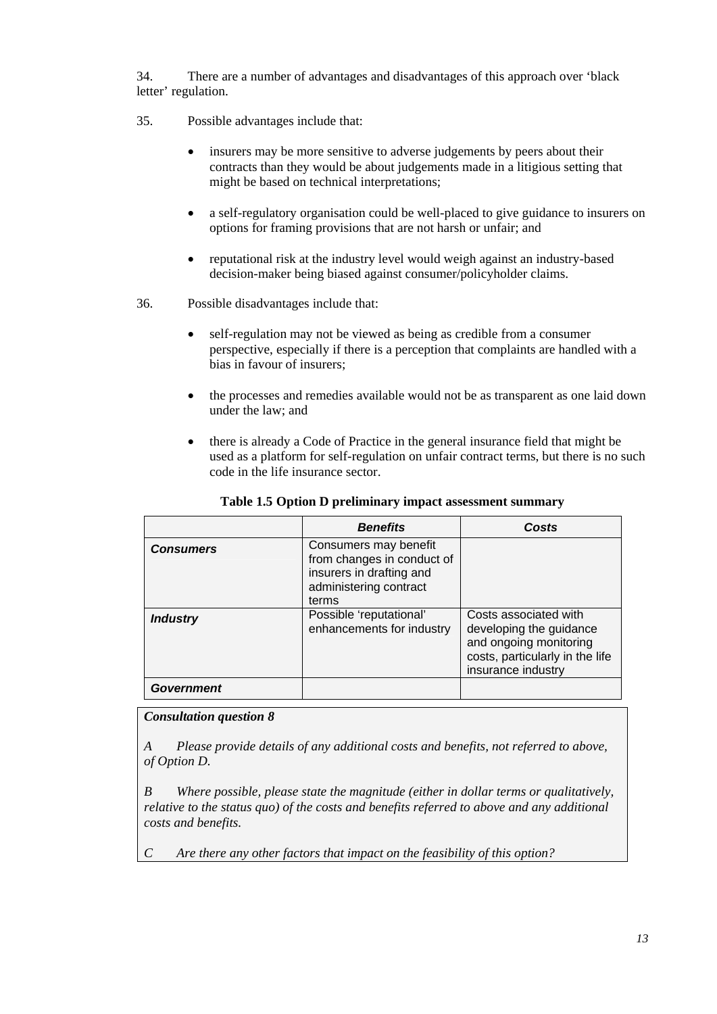34. There are a number of advantages and disadvantages of this approach over 'black letter' regulation.

- 35. Possible advantages include that:
	- insurers may be more sensitive to adverse judgements by peers about their contracts than they would be about judgements made in a litigious setting that might be based on technical interpretations;
	- a self-regulatory organisation could be well-placed to give guidance to insurers on options for framing provisions that are not harsh or unfair; and
	- reputational risk at the industry level would weigh against an industry-based decision-maker being biased against consumer/policyholder claims.

36. Possible disadvantages include that:

- self-regulation may not be viewed as being as credible from a consumer perspective, especially if there is a perception that complaints are handled with a bias in favour of insurers;
- the processes and remedies available would not be as transparent as one laid down under the law; and
- there is already a Code of Practice in the general insurance field that might be used as a platform for self-regulation on unfair contract terms, but there is no such code in the life insurance sector.

|                  | <b>Benefits</b>                                                                                                    | Costs                                                                                                                               |
|------------------|--------------------------------------------------------------------------------------------------------------------|-------------------------------------------------------------------------------------------------------------------------------------|
| <b>Consumers</b> | Consumers may benefit<br>from changes in conduct of<br>insurers in drafting and<br>administering contract<br>terms |                                                                                                                                     |
| <b>Industry</b>  | Possible 'reputational'<br>enhancements for industry                                                               | Costs associated with<br>developing the guidance<br>and ongoing monitoring<br>costs, particularly in the life<br>insurance industry |
| Government       |                                                                                                                    |                                                                                                                                     |

## **Table 1.5 Option D preliminary impact assessment summary**

## *Consultation question 8*

*A Please provide details of any additional costs and benefits, not referred to above, of Option D.* 

*B Where possible, please state the magnitude (either in dollar terms or qualitatively, relative to the status quo) of the costs and benefits referred to above and any additional costs and benefits.* 

*C Are there any other factors that impact on the feasibility of this option?*